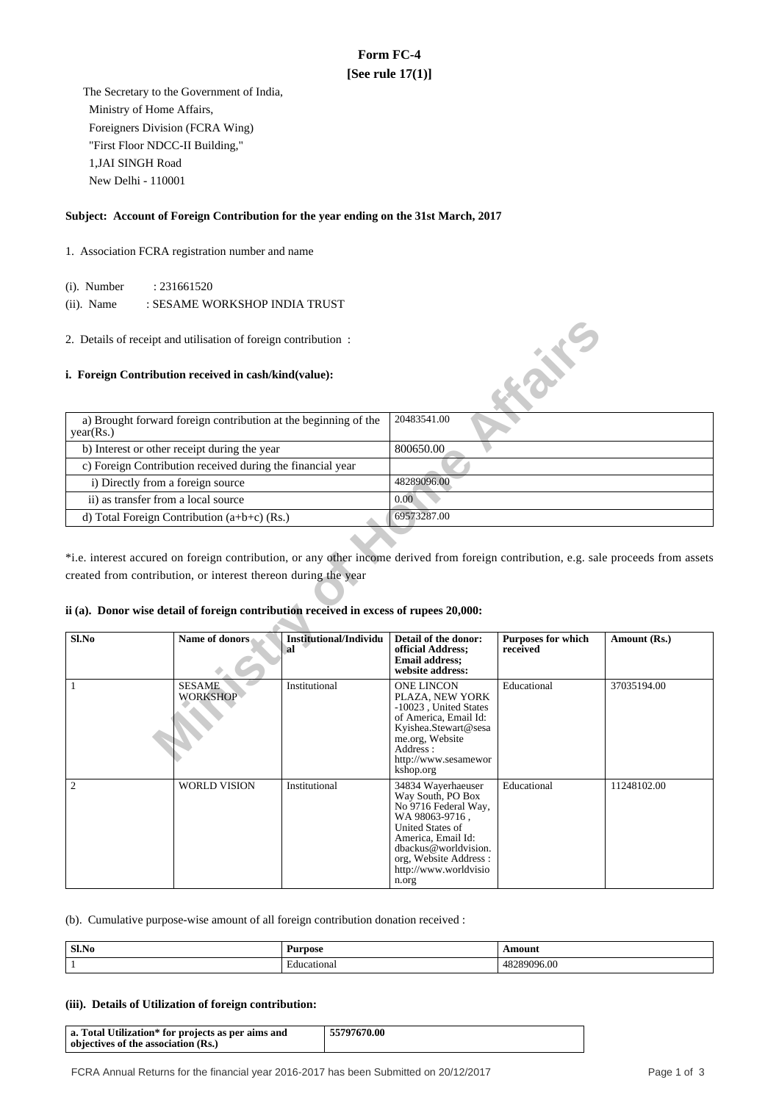# **Form FC-4 [See rule 17(1)]**

 The Secretary to the Government of India, Ministry of Home Affairs, Foreigners Division (FCRA Wing) "First Floor NDCC-II Building," 1,JAI SINGH Road New Delhi - 110001

# **Subject: Account of Foreign Contribution for the year ending on the 31st March, 2017**

- 1. Association FCRA registration number and name
	- (i). Number : 231661520
	- (ii). Name : SESAME WORKSHOP INDIA TRUST
- 2. Details of receipt and utilisation of foreign contribution :

## **i. Foreign Contribution received in cash/kind(value):**

| a) Brought forward foreign contribution at the beginning of the<br>year(Rs.) | 20483541.00 |
|------------------------------------------------------------------------------|-------------|
| b) Interest or other receipt during the year                                 | 800650.00   |
| c) Foreign Contribution received during the financial year                   |             |
| i) Directly from a foreign source                                            | 48289096.00 |
| ii) as transfer from a local source                                          | 0.00        |
| d) Total Foreign Contribution $(a+b+c)$ (Rs.)                                | 69573287.00 |

# **ii (a). Donor wise detail of foreign contribution received in excess of rupees 20,000:**

| 2. Details of receipt and utilisation of foreign contribution:<br>i. Foreign Contribution received in cash/kind(value):                                                                                                                                                                                                                                                    |                                                                 |               |                                                                                                                                                                                                                       | <b>Kaik</b> E                         |              |
|----------------------------------------------------------------------------------------------------------------------------------------------------------------------------------------------------------------------------------------------------------------------------------------------------------------------------------------------------------------------------|-----------------------------------------------------------------|---------------|-----------------------------------------------------------------------------------------------------------------------------------------------------------------------------------------------------------------------|---------------------------------------|--------------|
| year(Rs.)                                                                                                                                                                                                                                                                                                                                                                  | a) Brought forward foreign contribution at the beginning of the |               | 20483541.00                                                                                                                                                                                                           |                                       |              |
|                                                                                                                                                                                                                                                                                                                                                                            | b) Interest or other receipt during the year                    |               | 800650.00                                                                                                                                                                                                             |                                       |              |
|                                                                                                                                                                                                                                                                                                                                                                            | c) Foreign Contribution received during the financial year      |               |                                                                                                                                                                                                                       |                                       |              |
|                                                                                                                                                                                                                                                                                                                                                                            | i) Directly from a foreign source                               |               | 48289096.00                                                                                                                                                                                                           |                                       |              |
|                                                                                                                                                                                                                                                                                                                                                                            | ii) as transfer from a local source                             |               | 0.00                                                                                                                                                                                                                  |                                       |              |
|                                                                                                                                                                                                                                                                                                                                                                            | d) Total Foreign Contribution $(a+b+c)$ (Rs.)                   |               | 69573287.00                                                                                                                                                                                                           |                                       |              |
| *i.e. interest accured on foreign contribution, or any other income derived from foreign contribution, e.g. sale proceeds from assets<br>created from contribution, or interest thereon during the year<br>ii (a). Donor wise detail of foreign contribution received in excess of rupees 20,000:<br>Sl.No<br><b>Name of donors</b><br><b>Institutional/Individu</b><br>al |                                                                 |               | Detail of the donor:<br>official Address;<br><b>Email address:</b><br>website address:                                                                                                                                | <b>Purposes for which</b><br>received | Amount (Rs.) |
| 1                                                                                                                                                                                                                                                                                                                                                                          | <b>SESAME</b><br><b>WORKSHOP</b>                                | Institutional | <b>ONE LINCON</b><br>PLAZA, NEW YORK<br>-10023, United States<br>of America, Email Id:<br>Kyishea.Stewart@sesa<br>me.org, Website<br>Address:<br>http://www.sesamewor<br>kshop.org                                    | Educational                           | 37035194.00  |
| 2                                                                                                                                                                                                                                                                                                                                                                          | <b>WORLD VISION</b>                                             | Institutional | 34834 Wayerhaeuser<br>Way South, PO Box<br>No 9716 Federal Way,<br>WA 98063-9716,<br><b>United States of</b><br>America. Email Id:<br>dbackus@worldvision.<br>org, Website Address:<br>http://www.worldvisio<br>n.org | Educational                           | 11248102.00  |

(b). Cumulative purpose-wise amount of all foreign contribution donation received :

| Sl.No |                                 | . |
|-------|---------------------------------|---|
|       | $\sim$<br>ona<br>111.<br>∵eatu. |   |

## **(iii). Details of Utilization of foreign contribution:**

| a. Total Utilization* for projects as per aims and<br>objectives of the association (Rs.) | 55797670.00 |
|-------------------------------------------------------------------------------------------|-------------|
|-------------------------------------------------------------------------------------------|-------------|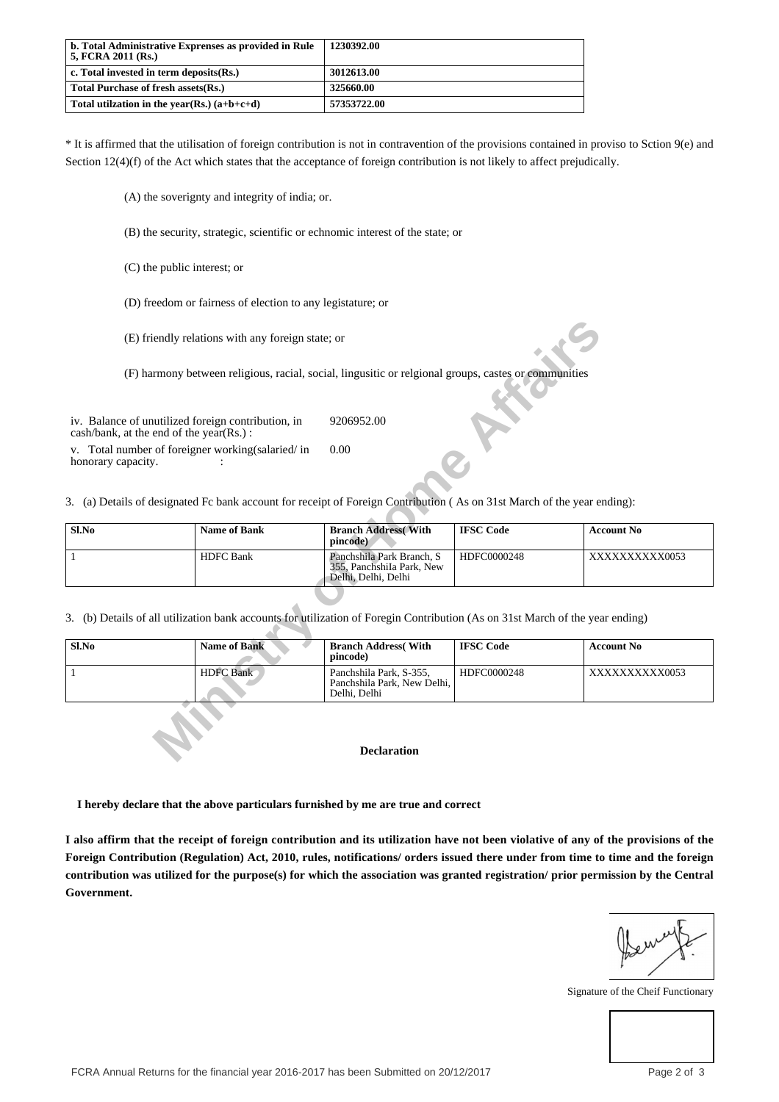| b. Total Administrative Exprenses as provided in Rule<br>  5, FCRA 2011 (Rs.) | 1230392.00  |
|-------------------------------------------------------------------------------|-------------|
| $\vert$ c. Total invested in term deposits $(Rs.)$                            | 3012613.00  |
| Total Purchase of fresh assets (Rs.)                                          | 325660.00   |
| Total utilization in the year(Rs.) $(a+b+c+d)$                                | 57353722.00 |

\* It is affirmed that the utilisation of foreign contribution is not in contravention of the provisions contained in proviso to Sction 9(e) and Section 12(4)(f) of the Act which states that the acceptance of foreign contribution is not likely to affect prejudically.

(A) the soverignty and integrity of india; or.

(B) the security, strategic, scientific or echnomic interest of the state; or

(C) the public interest; or

(D) freedom or fairness of election to any legistature; or

| Sl.No | <b>Name of Bank</b> | <b>Branch Address With</b><br>pincode)                                         | <b>IFSC Code</b> | <b>Account No</b> |
|-------|---------------------|--------------------------------------------------------------------------------|------------------|-------------------|
|       | <b>HDFC Bank</b>    | Panchshila Park Branch, S.<br>355. Panchshila Park, New<br>Delhi, Delhi, Delhi | HDFC0000248      | XXXXXXXXXX0053    |

| (E) friendly relations with any foreign state; or                                                                             |                                                                                                                         |                                                                                                       |                  |                   |  |  |
|-------------------------------------------------------------------------------------------------------------------------------|-------------------------------------------------------------------------------------------------------------------------|-------------------------------------------------------------------------------------------------------|------------------|-------------------|--|--|
|                                                                                                                               |                                                                                                                         | (F) harmony between religious, racial, social, lingusitic or religional groups, castes or communities |                  |                   |  |  |
| iv. Balance of unutilized foreign contribution, in<br>cash/bank, at the end of the year(Rs.):                                 |                                                                                                                         | 9206952.00                                                                                            |                  |                   |  |  |
| v. Total number of foreigner working (salaried/in<br>honorary capacity.                                                       |                                                                                                                         | 0.00                                                                                                  |                  |                   |  |  |
|                                                                                                                               | 3. (a) Details of designated Fc bank account for receipt of Foreign Contribution (As on 31st March of the year ending): |                                                                                                       |                  |                   |  |  |
| Sl.No                                                                                                                         | <b>Name of Bank</b>                                                                                                     | <b>Branch Address</b> (With<br>pincode)                                                               | <b>IFSC Code</b> | <b>Account No</b> |  |  |
| $\mathbf{1}$                                                                                                                  | <b>HDFC</b> Bank                                                                                                        | Panchshila Park Branch, S.<br>355, PanchshiIa Park, New<br>Delhi, Delhi, Delhi                        | HDFC0000248      | XXXXXXXXXX0053    |  |  |
| 3. (b) Details of all utilization bank accounts for utilization of Foregin Contribution (As on 31st March of the year ending) |                                                                                                                         |                                                                                                       |                  |                   |  |  |
| Sl.No                                                                                                                         | <b>Name of Bank</b>                                                                                                     | <b>Branch Address</b> (With<br>pincode)                                                               | <b>IFSC Code</b> | <b>Account No</b> |  |  |
| 1                                                                                                                             | <b>HDFC</b> Bank                                                                                                        | Panchshila Park, S-355,<br>Panchshila Park, New Delhi,<br>Delhi, Delhi                                | HDFC0000248      | XXXXXXXXXX0053    |  |  |
|                                                                                                                               |                                                                                                                         |                                                                                                       |                  |                   |  |  |
|                                                                                                                               |                                                                                                                         | <b>Declaration</b>                                                                                    |                  |                   |  |  |

 **I hereby declare that the above particulars furnished by me are true and correct**

**I also affirm that the receipt of foreign contribution and its utilization have not been violative of any of the provisions of the Foreign Contribution (Regulation) Act, 2010, rules, notifications/ orders issued there under from time to time and the foreign contribution was utilized for the purpose(s) for which the association was granted registration/ prior permission by the Central Government.**

Signature of the Cheif Functionary